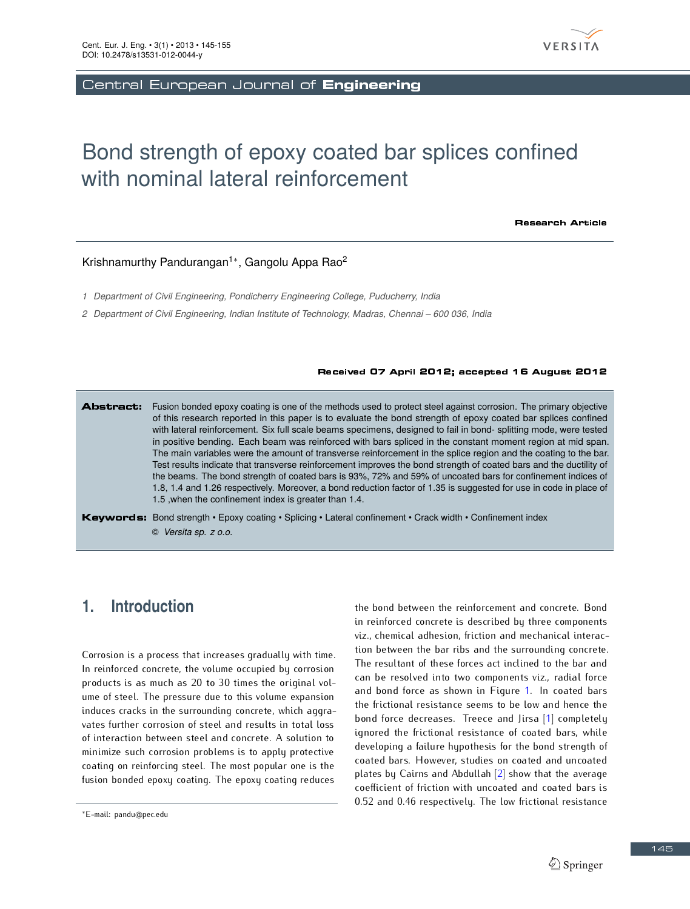

Central European Journal of Engineering

# Bond strength of epoxy coated bar splices confined with nominal lateral reinforcement

**Research Article** 

#### Krishnamurthy Pandurangan<sup>1</sup>*<sup>∗</sup>* , Gangolu Appa Rao<sup>2</sup>

*1 Department of Civil Engineering, Pondicherry Engineering College, Puducherry, India*

*2 Department of Civil Engineering, Indian Institute of Technology, Madras, Chennai – 600 036, India*

#### Received 07 April 2012; accepted 16 August 2012

Abstract: Fusion bonded epoxy coating is one of the methods used to protect steel against corrosion. The primary objective of this research reported in this paper is to evaluate the bond strength of epoxy coated bar splices confined with lateral reinforcement. Six full scale beams specimens, designed to fail in bond- splitting mode, were tested in positive bending. Each beam was reinforced with bars spliced in the constant moment region at mid span. The main variables were the amount of transverse reinforcement in the splice region and the coating to the bar. Test results indicate that transverse reinforcement improves the bond strength of coated bars and the ductility of the beams. The bond strength of coated bars is 93%, 72% and 59% of uncoated bars for confinement indices of 1.8, 1.4 and 1.26 respectively. Moreover, a bond reduction factor of 1.35 is suggested for use in code in place of 1.5 ,when the confinement index is greater than 1.4.

Keywords: Bond strength • Epoxy coating • Splicing • Lateral confinement • Crack width • Confinement index © *Versita sp. z o.o.*

# **1. Introduction**

Corrosion is a process that increases gradually with time. In reinforced concrete, the volume occupied by corrosion products is as much as 20 to 30 times the original volume of steel. The pressure due to this volume expansion induces cracks in the surrounding concrete, which aggravates further corrosion of steel and results in total loss<br>of interaction between steel and concrete. A solution to of interaction between steel and concrete. A solution to minimize such corrosion problems is to apply protective coating on reinforcing steel. The most popular one is the fusion bonded epoxy coating. The epoxy coating reduces

the bond between the reinforcement and concrete. Bond in reinforced concrete is described by three components viz., chemical adhesion, friction and mechanical interaction between the bar ribs and the surrounding concrete. The resultant of these forces act inclined to the bar and can be resolved into two components viz., radial force and bond force as shown in Figure 1. In coated bars<br>the frictional resistance seems to be low and hence the the frictional resistance seems to be low and hence the bond force decreases. Treece and Jirsa [1] completely ignored the frictional resistance of coated bars, while developing a failure hypothesis for the bond strength of coated bars. However, studies on coated and uncoated plates by Cairns and Abdullah  $[2]$  show that the average coefficient of friction with uncoated and coated bars is coefficient of friction with uncoated and coated bars is 0.52 and 0.46 respectively. The low frictional resistance

*<sup>∗</sup>*E-mail: pandu@pec.edu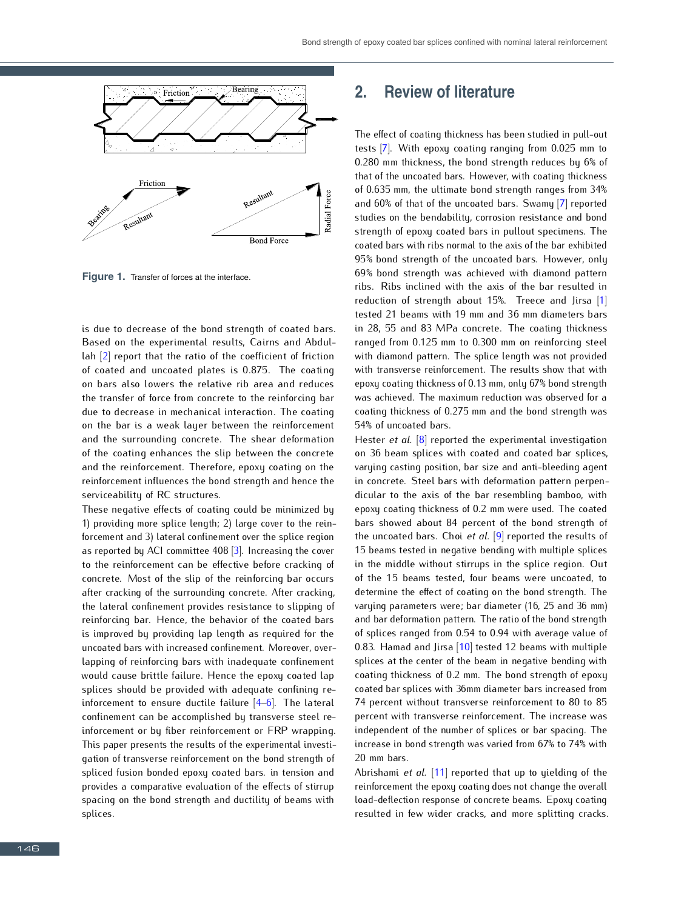

**Figure 1.** Transfer of forces at the interface.

is due to decrease of the bond strength of coated bars.<br>Based on the experimental results, Cairns and Abdul- $\lambda$  lah  $\lceil 2 \rceil$  report that the ratio of the coefficient of friction of coated and uncoated plates is 0.875. The coating on bars also lowers the relative rib area and reduces on bars also lowers the relative rib area and reduces the transfer of force from concrete to the reinforcing bar due to decrease in mechanical interaction. The coating on the bar is a weak layer between the reinforcement and the surrounding concrete. The shear deformation<br>of the coating enhances the slip between the concrete of the coating enhances the slip between the concrete and the reinforcement. Therefore, epoxy coating on the reinforcement influences the bond strength and hence the serviceability of RC structures.

These negative effects of coating could be minimized by 1) providing more splice length; 2) large cover to the rein-1) providing more splice length; 2) large cover to the reinforcement and 3) lateral confinement over the splice region as reported by ACI committee 408 [3]. Increasing the cover to the reinforcement can be effective before cracking of concrete. Most of the slip of the reinforcing bar occurs after cracking of the surrounding concrete. After cracking, the lateral confinement provides resistance to slipping of reinforcing bar. Hence, the behavior of the coated bars is improved by providing lap length as required for the uncoated bars with increased confinement. Moreover, overlapping of reinforcing bars with inadequate confinement would cause brittle failure. Hence the epoxy coated lap splices should be provided with adequate confining reinforcement to ensure ductile failure [4–6]. The lateral confinement can be accomplished by transverse steel reinforcement or by fiber reinforcement or FRP wrapping. This paper presents the results of the experimental investigation of transverse reinforcement on the bond strength of spliced fusion bonded epoxy coated bars. in tension and provides a comparative evaluation of the effects of stirrup spacing on the bond strength and ductility of beams with splices.

# **2. Review of literature**

The effect of coating thickness has been studied in pull-out tests [7]. With epoxy coating ranging from 0.025 mm to 0.280 mm thickness, the bond strength reduces by 6% of 0.280 mm thickness, the bond strength reduces by 6% of that of the uncoated bars. However, with coating thickness of 0.635 mm, the ultimate bond strength ranges from 34% and 60% of that of the uncoated bars. Swamy [7] reported studies on the bendability, corrosion resistance and bond<br>strength of epoxy coated bars in pullout specimens. The coated bars with ribs normal to the axis of the bar exhibited 95% bond strength of the uncoated bars. However, only 69% bond strength was achieved with diamond pattern ribs. Ribs inclined with the axis of the bar resulted in reduction of strength about 15%. Treece and Jirsa  $[1]$ tested 21 beams with 19 mm and 36 mm diameters bars tested 21 beams with 19 mm and 36 mm diameters bars  $\frac{1}{20}$ , 55 and 83 MPa concrete. The coating theories ranged from 0.125 mm to 0.300 mm on reinforcing steel with transverse reinforcement. The results show that with epoxy coating thickness of 0.13 mm, only 67% bond strength epoxy coating thickness of 0.13 mm, only 67% bond strength was achieved. The maximum reduction was observed for a coating thickness of 0.275 mm and the bond strength was 54% of uncoated bars.

Hester *et al.* [8] reported the experimental investigation<br>on 36 beam splices with coated and coated bar splices, on 36 beam splices with coated and coated bar splices, varying casting position, bar size and anti-bleeding agent in concrete. Steel bars with deformation pattern perpendicular to the axis of the bar resembling bamboo, with epoxy coating thickness of 0.2 mm were used. The coated bars showed about 84 percent of the bond strength of bars showed about 84 percent of the bond strength of the uncoated bars. Choi *et al.* [9] reported the results of 15 beams tested in negative bending with multiple splices in the middle without stirrups in the splice region. Out of the 15 beams tested, four beams were uncoated, to determine the effect of coating on the bond strength. The varying parameters were; bar diameter (16, 25 and 36 mm) and bar deformation pattern. The ratio of the bond strength of splices ranged from 0.54 to 0.94 with average value of 0.83. Hamad and Jirsa [10] tested 12 beams with multiple splices at the center of the beam in negative bending with coating thickness of 0.2 mm. The bond strength of epoxy coating thickness of 0.2 mm. The bond strength of epoxy coated bar splices with 36mm diameter bars increased from 74 percent without transverse return centent to 80 to 85 percent with transverse reinforcement. The increase was independent of the number of splices or bar spacing. The increase in bond strength was varied from 67% to 74% with

20 mm bars. Abrishami *et al.* [11] reported that up to yielding of the reinforcement the epoxy coating does not change the overall load-deflection response of concrete beams. Epoxy coating resulted in few wider cracks, and more splitting cracks.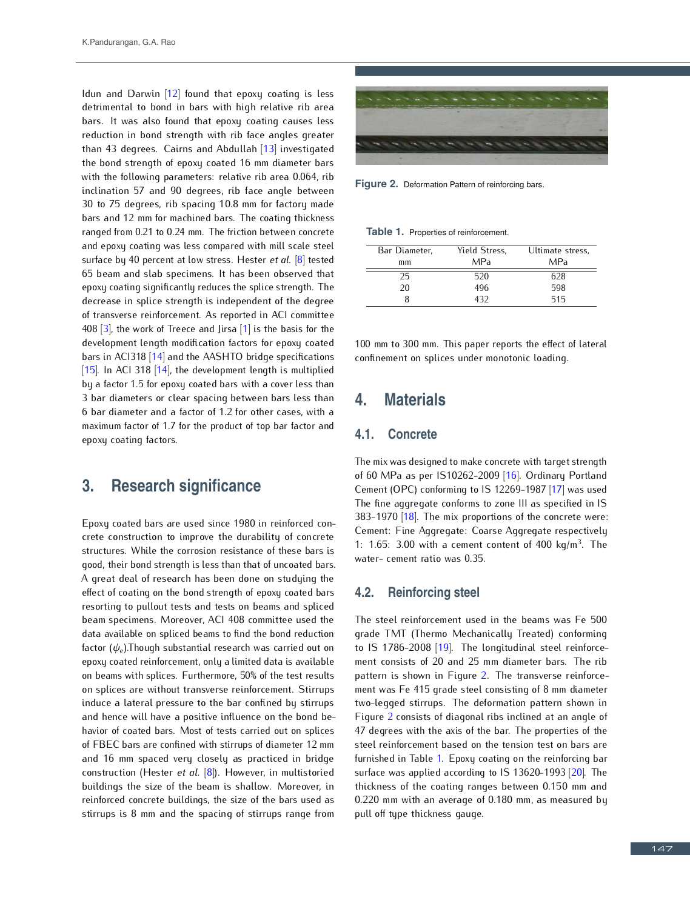Idun and Darwin [12] found that epoxy coating is less detrimental to bond in bars with high relative rib area bars. It was also found that epoxy coating causes less reduction in bond strength with rib face angles greater than 43 degrees. Cairns and Abdullah  $[13]$  investigated the bond strength of epoxy coated 16 mm diameter bars the bond strength of epoxy coated 16 mm diameter bars with the following parameters: relative rib area 0.064, rib $\frac{1}{2}$ inclination 57 and 90 degrees, rib face angle between bars and 12 mm for machined bars. The coating thickness ranged from 0.21 to 0.24 mm. The friction between concrete and epoxy coating was less compared with mill scale steel and epoxy coating was less compared with mill scale steel surface by 40 percent at low stress. Hester *et al.* [8] tested 65 beam and slab specimens. It has been observed that decrease in splice strength is independent of the degree decrease in splice strength is independent of the degree of transverse reinforcement. As reported in ACI committee 408 [3], the work of Treece and Jirsa [1] is the basis for the development length modification factors for epoxy coated bars in ACI318 [14] and the AASHTO bridge specifications [15]. In ACI 318 [14], the development length is multiplied by a factor 1.5 for epoxy coated bars with a cover less than by a factor 1.5 for epoxy coated bars with a cover less than 3 bar diameters or clear spacing between bars less than 6 bar diameter and a factor of 1.2 for other cases, with a maximum factor of 1.7 for the product of top bar factor and epoxy coating factors.

### **3. Research significance**

Epoxy coated bars are used since 1980 in reinforced concrete construction to improve the durability of concrete structures. While the corrosion resistance of these bars is good, their bond strength is less than that of uncoated bars. A great deal of research has been done on studying the effect of coating on the bond strength of epoxy coated bars resorting to pullout tests and tests on beams and spliced<br>beam specimens. Moreover, ACI 408 committee used the beam specimens. Moreover, ACI 408 committee used the data available on spliced beams to find the bond reduction factor (*ψe*).Though substantial research was carried out on epoxy coated reinforcement, only a limited data is available on beams with splices. Furthermore, 50% of the test results on splices are without transverse reinforcement. Stirrups induce a lateral pressure to the bar confined by stirrups and hence will have a positive influence on the bond behavior of coated bars. Most of tests carried out on splices of FBEC bars are confined with stirrups of diameter 12 mm and 16 mm spaced very closely as practiced in bridge construction (Hester *et al.* [8]). However, in multistoried buildings the size of the beam is shallow. Moreover, in rethorced concrete buildings, the size of the bars used as stirrups is 8 mm and the spacing of stirrups range from



**Figure 2.** Deformation Pattern of reinforcing bars.

|  |  |  |  |  |  |  | <b>Table 1.</b> Properties of reinforcement. |
|--|--|--|--|--|--|--|----------------------------------------------|
|--|--|--|--|--|--|--|----------------------------------------------|

| Bar Diameter, | Yield Stress, | Ultimate stress, |
|---------------|---------------|------------------|
| mm            | MPa           | MPa              |
| 25            | 520           | 628              |
| 20            | 496           | 598              |
|               | 432           | 515              |
|               |               |                  |

100 mm to 300 mm. This paper reports the effect of lateral confinement on splices under monotonic loading.

### **4. Materials**

#### **4.1. Concrete**

The mix was designed to make concrete with target strength of 60 MPa as per IS10262-2009 [16]. Ordinary Portland<br>Cement (OPC) conforming to IS 12269-1987 [17] was used Cement (OPC) comoning to IS 12269-1987 [17] was used<br> $\tau$ The fine aggregate comonis to zone in as specified in IS 383-1970 [18]. The mix proportions of the concrete were:<br>Cement: Fine Aggregate: Coarse Aggregate respectively Cement: Fine Aggregate: Coarse Aggregate respectively 1:  $1.65$ :  $3.00$  with a cement content of  $400$  kg/m<sup>3</sup>. The water- cement ratio was 0.35.

#### **4.2. Reinforcing steel**

The steel reinforcement used in the beams was Fe 500 to IS 1786-2008  $[19]$ . The longitudinal steel reinforceto IS 1786-2000 [19]. The tongitudinal steel retinuitement consists of 20 and 25 mm diameter bars. The rib pattern is shown in Figure 2. The transverse reinforcement was Fe 415 grade steel consisting of 8 mm diameter two-legged stirrups. The deformation pattern shown in Figure 2 consists of diagonal ribs inclined at an angle of 47 degrees with the axis of the bar. The properties of the steel reinforcement based on the tension test on bars are furnished in Table 1. Epoxy coating on the reinforcing bar surface was applied according to IS 13620-1993 [20]. The thickness of the coating ranges between 0.150 mm and 0.220 mm with an average of 0.180 mm, as measured by pull off type thickness gauge.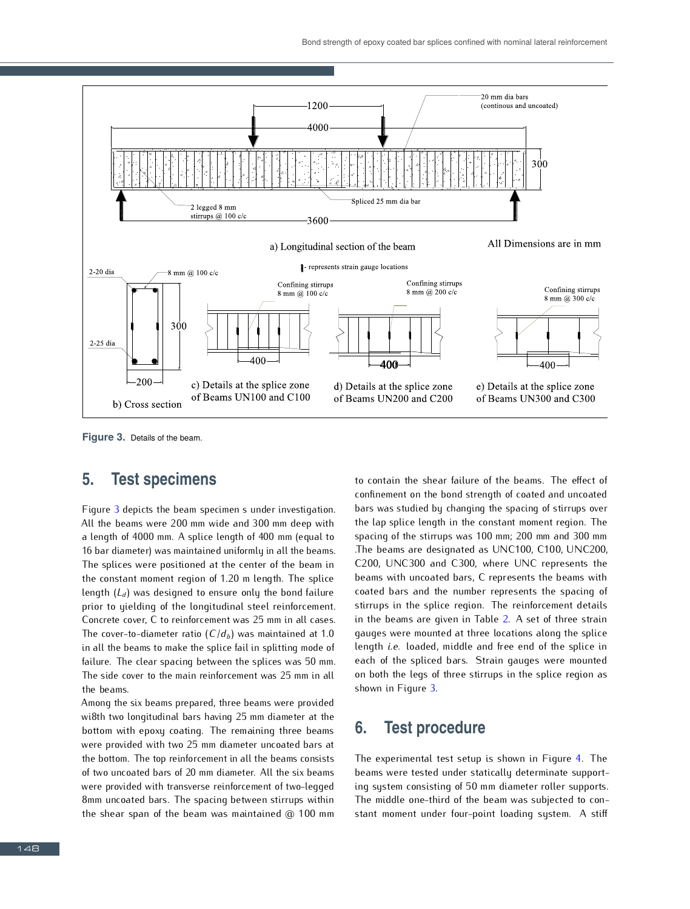

**Figure 3.** Details of the beam.

# **5. Test specimens**

Figure 3 depicts the beam specimen s under investigation. All the beams were 200 mm wide and 300 mm deep with a length of 4000 mm. A splice length of 400 mm (equal to 16 bar diameter) was maintained uniformly in all the beams. 16 bar diameter) was maintained uniformly in all the beams. The splices were positioned at the center of the beam in the constant moment region of 1.20 m length. The splice length (*L<sup>d</sup>*) was designed to ensure only the bond failure prior to yielding of the longitudinal steel reinforcement.<br>Concrete cover, C to reinforcement was 25 mm in all cases. Concrete cover, C to reinforcement was 25 mm in all cases. in all the beams to make the splice fail in splitting mode of failure. The clear spacing between the splices was 50 mm. The side cover to the main reinforcement was 25 mm in all the beams.

Among the six beams prepared, three beams were provided wi8th two longitudinal bars having 25 mm diameter at the bottom with epoxy coating. The remaining three beams were provided with two 25 mm diameter uncoated bars at the bottom. The top reinforcement in all the beams consists of two uncoated bars of 20 mm diameter. All the six beams were provided with transverse reinforcement of two-legged bilim uncoated bars. The spacing between stirrups within the shear span of the beam was maintained @ 100 mm

to contain the shear failure of the beams. The effect of bars was studied by changing the spacing of stirrups over bars was studied by changing the spacing of stirrups over the lap splice length in the constant moment region. The spacing of the stirrups was 100 mm; 200 mm and 300 mm<br>The beams are designated as UNC100, C100, UNC200, C200, UNC300 and C300, where UNC represents the beams with uncoated bars, C represents the beams with coated bars and the number represents the spacing of stirrups in the splice region. The reinforcement details stirrups in the splice region. The retinorcement details in the beams are given in Table 2. A set of three strain gauges were mounted at three locations along the splice length *i.e.* loaded, middle and free end of the splice in each of the spliced bars. Strain gauges were mounted on both the legs of three stirrups in the splice region as shown in Figure 3.

### **6. Test procedure**

The experimental test setup is shown in Figure 4. The beams were tested under statically determinate supporting system consisting of 50 mm diameter roller supports. The middle one-third of the beam was subjected to constant moment under four-point loading system. A stiff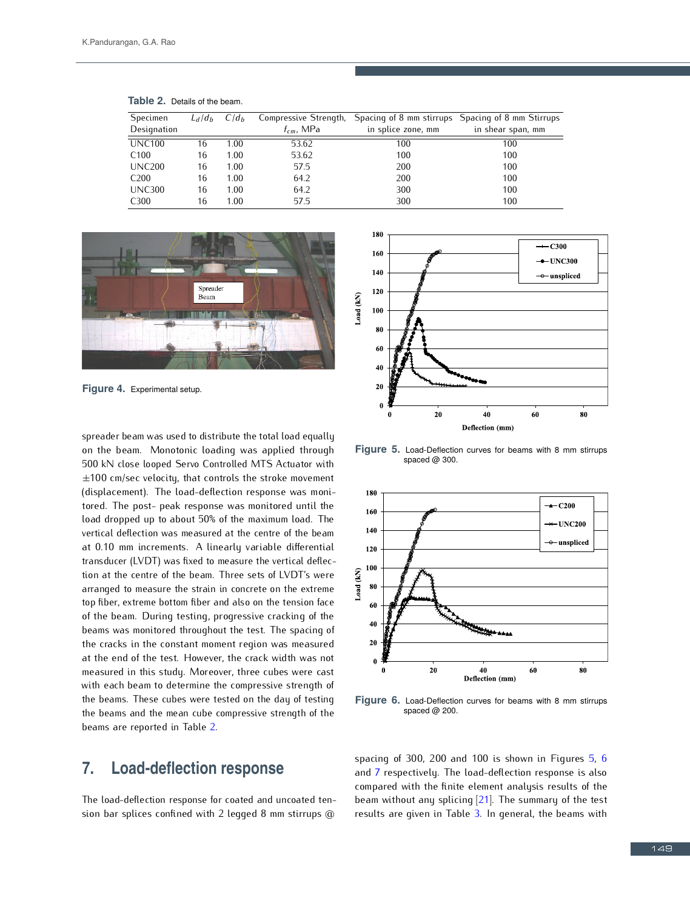| Specimen         | $L_d/d_h$ | $C/d_h$ |                | Compressive Strength, Spacing of 8 mm stirrups Spacing of 8 mm Stirrups |                   |  |
|------------------|-----------|---------|----------------|-------------------------------------------------------------------------|-------------------|--|
| Designation      |           |         | $t_{cm}$ , MPa | in splice zone, mm                                                      | in shear span, mm |  |
| <b>UNC100</b>    | 16        | 1.00    | 53.62          | 100                                                                     | 100               |  |
| C <sub>100</sub> | 16        | 1.00    | 53.62          | 100                                                                     | 100               |  |
| <b>UNC200</b>    | 16        | 1.00    | 57.5           | 200                                                                     | 100               |  |
| C <sub>200</sub> | 16        | 1.00    | 64.2           | 200                                                                     | 100               |  |
| <b>UNC300</b>    | 16        | 1.00    | 64.2           | 300                                                                     | 100               |  |
| C <sub>300</sub> | 16        | 1.00    | 57.5           | 300                                                                     | 100               |  |

**Table 2.** Details of the beam.



**Figure 4.** Experimental setup.

spreader beam was used to distribute the total load equally on the beam. Monotonic loading was applied through 500 kN close looped Servo Controlled MTS Actuator with *±*100 cm/sec velocity, that controls the stroke movement (displacement). The load-deflection response was moni-<br>tored. The post- peak response was monitored until the tored. The post- peak response was monitored until the load dropped up to about 50% of the maximum load. The vertical deflection was measured at the centre of the beam<br>at 0.10 mm increments. A linearly variable differential transducer (LVDT) was fixed to measure the vertical deflection at the centre of the beam. Three sets of LVDT's were tion at the centre of the beam. Three sets of LVDT's were arranged to measure the strain in concrete on the extreme top fiber, extreme bottom fiber and also on the tension face of the beam. During testing, progressive cracking of the beams was monitored throughout the test. The spacing of<br>the cracks in the constant moment region was measured at the end of the test. However, the crack width was not at the end of the test. However, the crack width was not measured in this study. Moreover, three cubes were cast with each beam to determine the compressive strength of the beams. These cubes were tested on the day of testing the beams. These cubes were tested on the day of testing the beams and the mean cube compressive strength of the beams are reported in Table 2.

### **7. Load-deflection response**

The load-deflection response for coated and uncoated tension bar splices confined with 2 legged 8 mm stirrups @



**Figure 5.** Load-Deflection curves for beams with 8 mm stirrups spaced @ 300.



**Figure 6.** Load-Deflection curves for beams with 8 mm stirrups spaced @ 200

spacing of 300, 200 and 100 is shown in Figures 5, 6 and 7 respectively. The load-deflection response is also compared with the finite element analysis results of the beam without any splicing [21]. The summary of the test beam without any splicing  $[21]$ . The summary of the test results are given in Table 3. In general, the beams with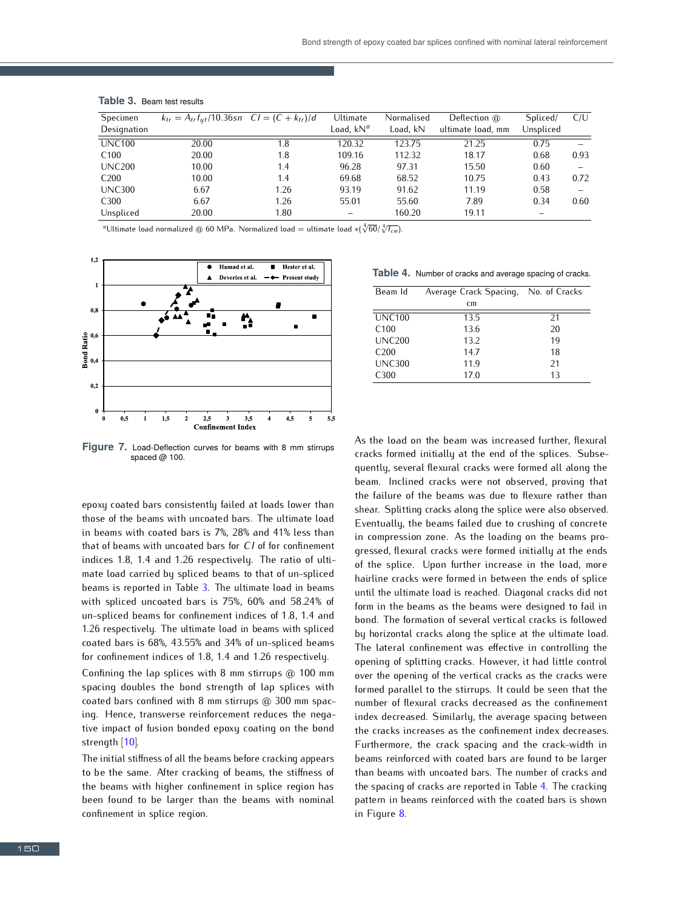| Specimen         | $k_{tr} = A_{tr} f_{ut} / 10.36$ sn $CI = (C + k_{tr}) / d$ |      | Ultimate              | Normalised | Deflection @      | Spliced/  | C/U  |
|------------------|-------------------------------------------------------------|------|-----------------------|------------|-------------------|-----------|------|
| Designation      |                                                             |      | Load, kN <sup>a</sup> | Load. kN   | ultimate load, mm | Unspliced |      |
| <b>UNC100</b>    | 20.00                                                       | 1.8  | 120.32                | 123.75     | 21.25             | 0.75      |      |
| C <sub>100</sub> | 20.00                                                       | 1.8  | 109.16                | 112.32     | 18.17             | 0.68      | 0.93 |
| <b>UNC200</b>    | 10.00                                                       | 1.4  | 96.28                 | 97.31      | 15.50             | 0.60      |      |
| C <sub>200</sub> | 10.00                                                       | 1.4  | 69.68                 | 68.52      | 10.75             | 0.43      | 0.72 |
| <b>UNC300</b>    | 6.67                                                        | 1.26 | 93.19                 | 91.62      | 11.19             | 0.58      |      |
| C <sub>300</sub> | 6.67                                                        | 1.26 | 55.01                 | 55.60      | 7.89              | 0.34      | 0.60 |
| Unspliced        | 20.00                                                       | 1.80 | -                     | 160.20     | 19.11             |           |      |

#### **Table 3.** Beam test results

*<sup>a</sup>*Ultimate load normalized @ 60 MPa. Normalized load = ultimate load *∗*( *√*4 60*/ √*4 *<sup>f</sup>cm*).



**Figure 7.** Load-Deflection curves for beams with 8 mm stirrups spaced @ 100.

epoxy coated bars consistently failed at loads lower than in beams with coated bars is  $7\%$ ,  $28\%$  and  $41\%$  less than in beams with coated bars is 7%, 28% and 41% less than that of beams with uncoated bars for *CI* of for confinement indices 1.0, 1.4 and 1.26 respectively. The ratio of ultimate load carried by spliced beams to that of un-spliced beams is reported in Table 3. The ultimate load in beams with spliced uncoated bars is 75%, 60% and 58.24% of un-spliced beams for confinement indices of 1.8, 1.4 and 1.26 respectively. The ultimate load in beams with spliced coated bars is 68%, 43.55% and 34% of un-spliced beams for confinement indices of 1.8, 1.4 and 1.26 respectively.<br>Confining the lap splices with 8 mm stirrups @ 100 mm

spacing doubles the bond strength of lap splices with spacing doubles the bond strength of lap splices with  $\frac{c}{d}$  confined with 0 mm stirrups  $\omega$  300 mm spacing. Hence, transverse reinforcement reduces the negative impact of fusion bonded epoxy coating on the bond strength [10].

The initial stiffness of all the beams before cracking appears to be the same. After cracking of beams, the stiffness of the beams with higher confinement in splice region has been found to be larger than the beams with nominal confinement in splice region.

**Table 4.** Number of cracks and average spacing of cracks.

| Beam Id          | Average Crack Spacing, | No. of Cracks |
|------------------|------------------------|---------------|
|                  | cm                     |               |
| UNC100           | 13.5                   | 21            |
| $C_{100}$        | 13.6                   | 20            |
| <b>UNC200</b>    | 13.2                   | 19            |
| C <sub>200</sub> | 147                    | 18            |
| <b>UNC300</b>    | 11.9                   | 21            |
| C <sub>300</sub> | 17.0                   | 13            |
|                  |                        |               |

As the load on the beam was increased further, flexural cracks formed initially at the end of the splices. Subsecracks formed initially at the end of the splices. Subsequently, several flexural cracks were formed all along the beam. Inclined cracks were not observed, proving that the failure of the beams was due to flexure rather than the failure of the beams was due to flexure rather than shear. Splitting cracks along the splice were also observed. Eventually, the beams failed due to crushing of concrete gressed, flexural cracks were formed initially at the ends gressed, flexural cracks were formed initially at the ends of the splice. Upon further increase in the load, more hairline cracks were formed in between the ends of splice until the ultimate load is reached. Diagonal cracks did not form in the beams as the beams were designed to fail in bond. The formation of several vertical cracks is followed bond. The formation of several vertical cracks is followed by horizontal cracks along the splice at the ultimate load. The lateral confinement was effective in controlling the opening of splitting cracks. However, it had little control over the opening of the vertical cracks as the cracks were formed parallel to the stirrups. It could be seen that the number of flexural cracks decreased as the confinement index decreased. Similarly, the average spacing between the cracks increases as the confinement index decreases. Furthermore, the crack spacing and the crack-width in beams reinforced with coated bars are found to be larger than beams with uncoated bars. The number of cracks and the spacing of cracks are reported in Table 4. The cracking pattern in beams reinforced with the coated bars is shown in Figure 8.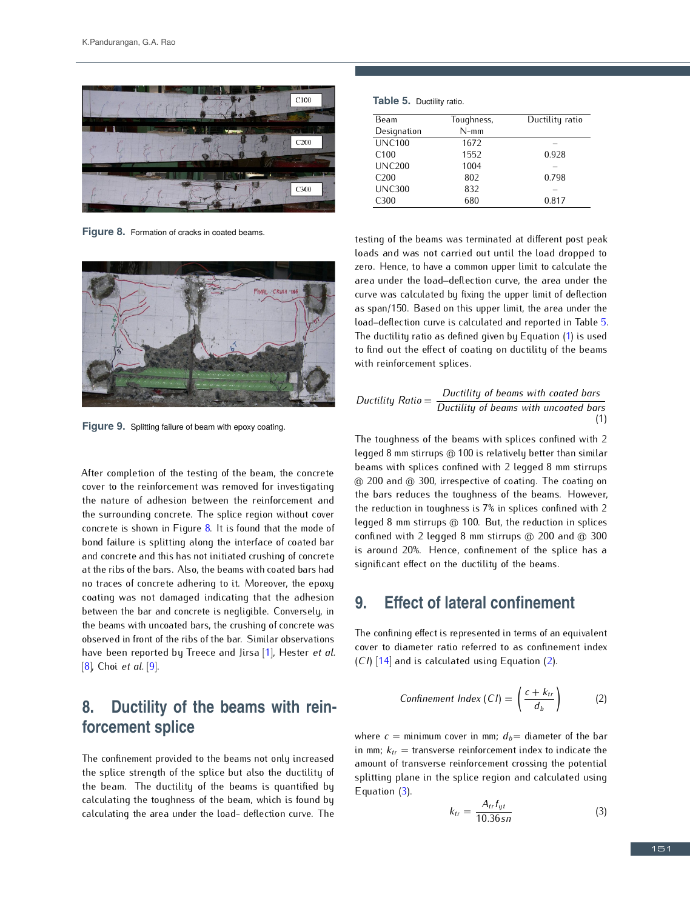

**Figure 8.** Formation of cracks in coated beams.



**Figure 9.** Splitting failure of beam with epoxy coating.

After completion of the testing of the beam, the concrete cover to the reinforcement was removed for investigating the nature of adhesion between the reinforcement and<br>the surrounding concrete. The splice region without cover the surrounding concrete. The splice region without cover concrete is shown in Figure 0. It is found that the mode of bond failure is splitting along the interface of coated bar<br>and concrete and this has not initiated crushing of concrete at the ribs of the bars. Also, the beams with coated bars had no traces of concrete adhering to it. Moreover, the epoxy coating was not damaged indicating that the adhesion between the bar and concrete is negligible. Conversely, in between the bar and concrete is negligible. Conversely, in the beams with uncoated bars, the crushing of concrete was observed in front of the ribs of the bar. Similar observations have been reported by Treece and Jirsa [1], Hester *et al.* [8], Choi *et al.* [9].

# **8. Ductility of the beams with reinforcement splice**

The confinement provided to the beams not only increased the splice strength of the splice but also the ductility of the beam. The ductility of the beams is quantified by calculating the toughness of the beam, which is found by calculating the toughness of the beam, which is found by calculating the area under the load- deflection curve. The

|  | Table 5. Ductility ratio. |
|--|---------------------------|
|--|---------------------------|

| Toughness, | Ductility ratio |
|------------|-----------------|
| $N-mm$     |                 |
| 1672       |                 |
| 1552       | 0.928           |
| 1004       |                 |
| 802        | 0.798           |
| 832        |                 |
| 680        | 0.817           |
|            |                 |

testing of the beams was terminated at different post peak zero. Hence, to have a common upper limit to calculate the area under the load-deflection curve, the area under the curve was calculated by fixing the upper limit of deflection as span/150. Based on this upper limit, the area under the load-deflection curve is calculated and reported in Table 5. The ductility ratio as defined given by Equation  $(1)$  is used The ductility ratio as defined given by Equation (1) is used to find out the effect of coating on ductility of the beams with reinforcement splices.

Ductility Ratio = 
$$
\frac{Ductility \space of \space beams \space with \space coated \space bars}{Ductility \space of \space beams \space with \space uncated \space bars}
$$
\n(1)

The toughness of the beams with splices confined with 2 legged 8 mm stirrups  $@$  100 is relatively better than similar legged 8 mm stirrups @ 100 is relatively better than similar beams with splices confined with 2 legged 8 mm stirrups @ 200 and @ 300, irrespective of coating. The coating on the bars reduces the toughness of the beams. However, the reduction in toughness is 7% in splices confined with 2 the reduction in toughness is 7% in splices confined with 2 legged 8 mm stirrups @ 100. But, the reduction in splices confined with 2 legged 6 mm stirrups @ 200 and @ 300  $\frac{1}{2}$  around 20%. Hence, confinement of the splice has a significant effect on the ductility of the beams.

# **9. Effect of lateral confinement**

The confining effect is represented in terms of an equivalent cover to diameter ratio referred to as confinement index (*CI*) [14] and is calculated using Equation (2).

$$
Confinement Index (CI) = \left(\frac{c + k_{tr}}{d_b}\right) \tag{2}
$$

where  $c =$  minimum cover in mm;  $d_b =$  diameter of the bar in mm;  $k_{tr}$  = transverse reinforcement index to indicate the amount of transverse reinforcement crossing the potential splitting plane in the splice region and calculated using Equation (3).

$$
k_{tr} = \frac{A_{tr}f_{yt}}{10.36sn} \tag{3}
$$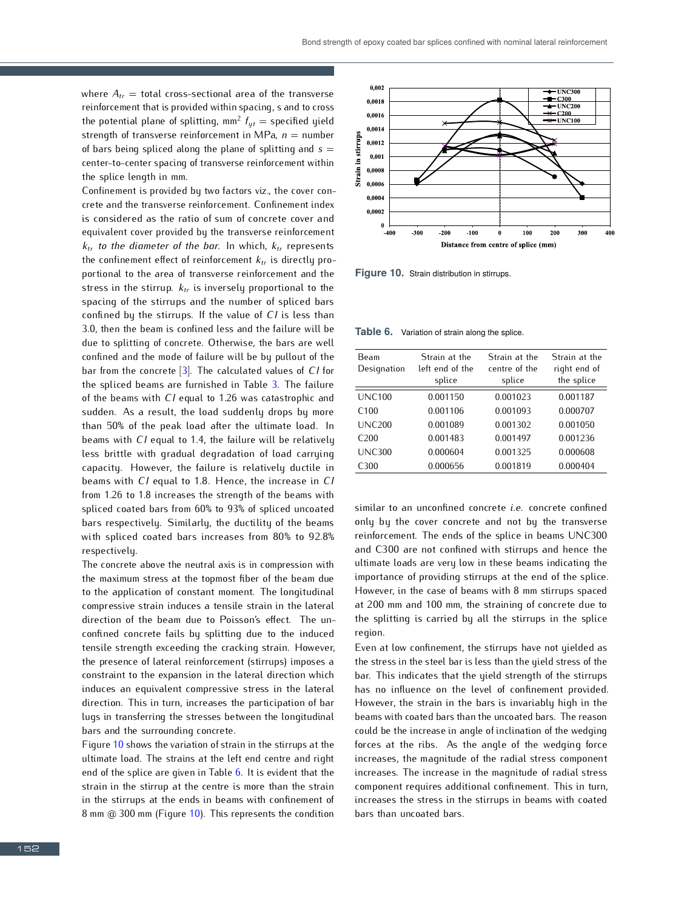where  $A_{tr}$  = total cross-sectional area of the transverse reinforcement that is provided within spacing, s and to cross reinforcement that is provided within spacing, s and to cross the potential plane of splitting, mm<sup>2</sup>  $f_{yt}$  = specified yield strength of transverse reinforcement in MPa,  $n =$  number of bars being spliced along the plane of splitting and *<sup>s</sup>* <sup>=</sup> center-to-center spacing of transverse reinforcement within the splice length in mm.<br>Confinement is provided by two factors viz., the cover con-

crete and the transverse reinforcement. Confinement index is considered as the ratio of sum of concrete cover and equivalent cover provided by the transverse reinforcement equivalent cover provided by the transverse reinforcement *<sup>k</sup>tr to the diameter of the bar*. In which, *<sup>k</sup>tr* represents the confinement effect of reinforcement *<sup>k</sup>tr* is directly proportional to the area of transverse reinforcement and the stress in the stirrup. *<sup>k</sup>tr* is inversely proportional to the spacing of the stirrups and the number of spliced bars confined by the stirrups. If the value of *CI* is less than 3.0, then the beam is confined less and the failure will be due to splitting of concrete. Otherwise, the bars are well confined and the mode of failure will be by pullout of the bar from the concrete [3]. The calculated values of *CI* for the spliced beams are furnished in Table 3. The failure of the beams with *CI* equal to 1.26 was catastrophic and sudden. As a result, the load suddenly drops by more<br>than 50% of the peak load after the ultimate load. In than 50% of the peak load after the ultimate load. In beams with *CI* equal to 1.4, the failure will be relatively less brittle with gradual degradation of load carrying capacity. However, the failure is relatively ductile in beams with *CI* equal to 1.8. Hence, the increase in *CI* from 1.26 to 1.8 increases the strength of the beams with spliced coated bars from 60% to 93% of spliced uncoated spliced coated bars from 60% to 93% of spliced uncoated bars respectively. Similarly, the ductility of the beams with spliced coated bars increases from 80% to 92.8% respectively.

The concrete above the neutral axis is in compression with the maximum stress at the topmost fiber of the beam due to the application of constant moment. The longitudinal compressive strain induces a tensile strain in the lateral direction of the beam due to Poisson's effect. The unconfined concrete fails by splitting due to the induced tensile strength exceeding the cracking strain. However, the presence of lateral reinforcement (stirrups) imposes a constraint to the expansion in the lateral direction which induces an equivalent compressive stress in the lateral direction. This in turn, increases the participation of bar lugs in transferring the stresses between the longitudinal bars and the surrounding concrete.

Figure 10 shows the variation of strain in the stirrups at the ultimate load. The strains at the left end centre and right end of the splice are given in Table 6. It is evident that the strain in the stirrup at the centre is more than the strain in the stirrups at the ends in beams with confinement of  $\theta$  mm  $\omega$  300 mm (Figure 10). This represents the condition



**Figure 10.** Strain distribution in stirrups.

**Table 6.** Variation of strain along the splice.

| Beam<br>Designation | Strain at the<br>left end of the<br>splice | Strain at the<br>centre of the<br>splice | Strain at the<br>right end of<br>the splice |
|---------------------|--------------------------------------------|------------------------------------------|---------------------------------------------|
| <b>UNC100</b>       | 0.001150                                   | 0.001023                                 | 0.001187                                    |
| C100                | 0.001106                                   | 0.001093                                 | 0.000707                                    |
| UNC200              | 0.001089                                   | 0.001302                                 | 0.001050                                    |
| C <sub>200</sub>    | 0.001483                                   | 0.001497                                 | 0.001236                                    |
| <b>UNC300</b>       | 0.000604                                   | 0.001325                                 | 0.000608                                    |
| C <sub>300</sub>    | 0.000656                                   | 0.001819                                 | 0.000404                                    |

similar to an unconfined concrete *i.e.* concrete confined only by the cover concrete and not by the transverse reinforcement. The ends of the splice in beams UNC300 and C300 are not confined with stirrups and hence the ultimate loads are very low in these beams indicating the importance of providing stirrups at the end of the splice. However, in the case of beams with 8 mm stirrups spaced However, in the case of beams with  $\sigma$  mm stirrups spaced at 200 mm and 100 mm, the straining of concrete due to the splitting is carried by all the stirrups in the splice region.

Even at low confinement, the stirrups have not yielded as the stress in the steel bar is less than the yield stress of the bar. This indicates that the yield strength of the stirrups has no influence on the level of confinement provided. However, the strain in the bars is invariably high in the beams with coated bars than the uncoated bars. The reason could be the increase in angle of inclination of the wedging forces at the ribs. As the angle of the wedging force increases, the magnitude of the radial stress component increases. The increase in the magnitude of radial stress component requires additional confinement. This in turn, increases the stress in the stirrups in beams with coated bars than uncoated bars.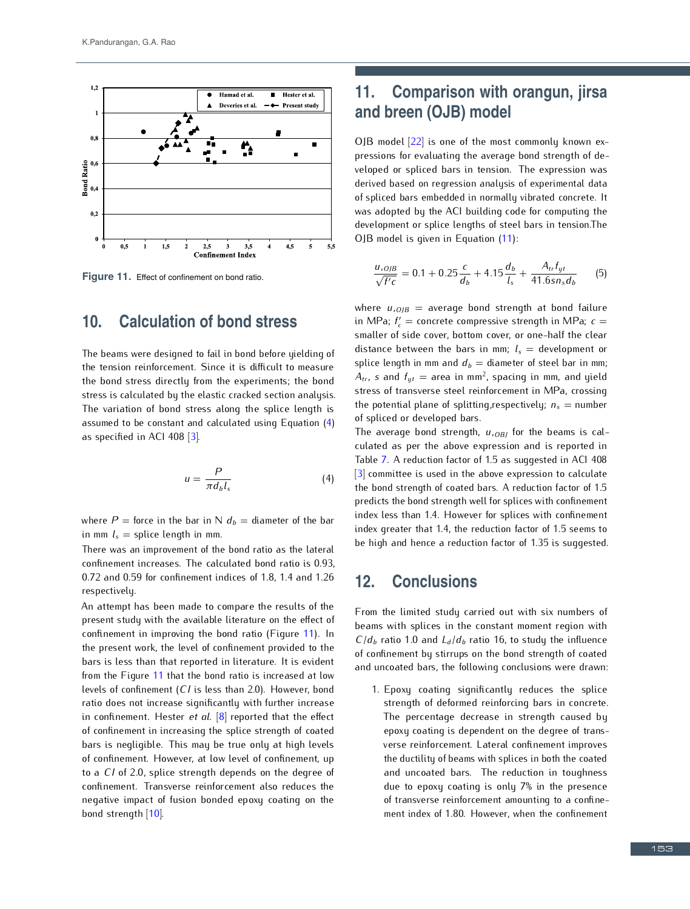

**Figure 11.** Effect of confinement on bond ratio.

### **10. Calculation of bond stress**

The beams were designed to fail in bond before yielding of the bond stress directly from the experiments; the bond stress is calculated by the elastic cracked section analysis. The variation of bond stress along the splice length is The variation of bond stress along the splice length is assumed to be constant and calculated using Equation (4) as specified in ACI 408 [3].

$$
u = \frac{P}{\pi d_b l_s} \tag{4}
$$

where  $P =$  force in the bar in N  $d<sub>b</sub> =$  diameter of the bar in mm  $l_s$  = splice length in mm.<br>There was an improvement of the bond ratio as the lateral

There was an improvement of the bond ratio as the lateral confinement increases. The calculated bond ratio is 0.93, 0.72 and 0.59 for confinement indices of 1.8, 1.4 and 1.26 respectively.

An attempt has been made to compare the results of the present study with the available literature on the effect of present study with the available literature on the effect of confinement in improving the bond ratio (Figure 11). In the present work, the level of confinement provided to the bars is less than that reported in literature. It is evident from the Figure 11 that the bond ratio is increased at low levels of confinement (*CI* is less than 2.0). However, bond ratio does not increase significantly with further increase in confinement. Hester *et al.* [8] reported that the effect of confinement in increasing the splice strength of coated bars is negligible. This may be true only at high levels of confinement. However, at low level of confinement, up to a *CI* of 2.0, splice strength depends on the degree of confinement. Transverse reinforcement also reduces the negative impact of fusion bonded epoxy coating on the bond strength [10].

# **11. Comparison with orangun, jirsa and breen (OJB) model**

OJB model [22] is one of the most commonly known ex-<br>pressions for evaluating the average bond strength of developed or spliced bars in tension. The expression was derived based on regression analysis of experimental data of spliced bars embedded in normally vibrated concrete. It was adopted by the ACI building code for computing the was adopted by the ACI building code for computing the development or splice lengths of steel bars in tension.The OJB model is given in Equation (11):

$$
\frac{u_{,O/B}}{\sqrt{f'c}} = 0.1 + 0.25 \frac{c}{d_b} + 4.15 \frac{d_b}{l_s} + \frac{A_{tr}f_{gt}}{41.6 s n_s d_b}
$$
(5)

where  $u_{,O/B}$  = average bond strength at bond failure in MPa;  $f'_c$  = concrete compressive strength in MPa;  $c =$ smaller of side cover, bottom cover, or one-half the clear<br>distance between the bars in mm;  $l_s$  = development or splice length in mm and  $d_b =$  diameter of steel bar in mm;  $A_{tr}$ , *s* and  $f_{yt}$  = area in mm<sup>2</sup>, spacing in mm, and yield stress of transverse steel reinforcement in MPa, crossing the potential plane of splitting, respectively;  $n_s =$  number of spliced or developed bars.

The average bond strength, *u,OBJ* for the beams is calculated as per the above expression and is reported in  $[3]$  committee is used in the above expression to calculate [3] committee is used in the above expression to calculate the bond strength of coated bars. A reduction factor of 1.5 predicts the bond strength well for splices with confinement index less than 1.4. However for splices with confinement index greater that 1.4, the reduction factor of 1.5 seems to be high and hence a reduction factor of 1.35 is suggested.

### **12. Conclusions**

From the limited study carried out with six numbers of beams with splices in the constant moment region with  $C/d_b$  ratio 1.0 and  $L_d/d_b$  ratio 16, to study the influence of confinement by stirrups on the bond strength of coated and uncoated bars, the following conclusions were drawn:

1. Epoxy coating significantly reduces the splice strength of deformed reinforcing bars in concrete. The percentage decrease in strength caused by epoxy coating is dependent on the degree of transverse reinforcement. Lateral confinement improves the ductility of beams with splices in both the coated and uncoated bars. The reduction in toughness due to epoxy coating is only 7% in the presence<br>of transverse reinforcement amounting to a confineof transverse reinforcement amounting to a confinement index of 1.80. However, when the confinement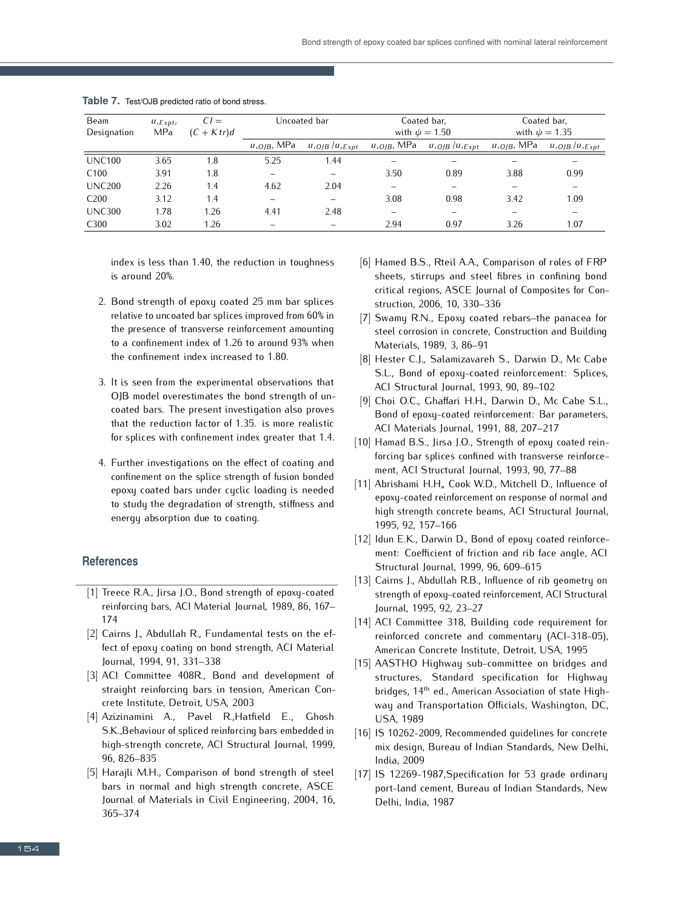| Beam             | $U, E_{XDt}$ | $CI =$       |                              | Uncoated bar      |                              | Coated bar,        |                              | Coated bar,          |  |
|------------------|--------------|--------------|------------------------------|-------------------|------------------------------|--------------------|------------------------------|----------------------|--|
| Designation      | MPa          | $(C + Ktr)d$ |                              |                   |                              | with $\psi = 1.50$ |                              | with $\psi = 1.35$   |  |
|                  |              |              | <i>u,<sub>OIB</sub>,</i> MPa | $u_{OIB}/u_{Ext}$ | <i>u,<sub>OJB</sub>,</i> MPa | $u_{O/B}/u_{Exb}$  | <i>u,<sub>OIB</sub>,</i> MPa | $u_{,OIB}/u_{,Expt}$ |  |
| <b>UNC100</b>    | 3.65         | 1.8          | 5.25                         | 1.44              |                              |                    |                              |                      |  |
| C <sub>100</sub> | 3.91         | 1.8          |                              |                   | 3.50                         | 0.89               | 3.88                         | 0.99                 |  |
| <b>UNC200</b>    | 2.26         | 1.4          | 4.62                         | 2.04              | -                            |                    |                              |                      |  |
| C <sub>200</sub> | 3.12         | 1.4          |                              |                   | 3.08                         | 0.98               | 3.42                         | 1.09                 |  |
| <b>UNC300</b>    | 1.78         | 1.26         | 4.41                         | 2.48              | $\overline{\phantom{0}}$     |                    |                              |                      |  |
| C <sub>300</sub> | 3.02         | 1.26         |                              |                   | 2.94                         | 0.97               | 3.26                         | 1.07                 |  |

|  | Table 7. Test/OJB predicted ratio of bond stress. |
|--|---------------------------------------------------|
|--|---------------------------------------------------|

index is less than 1.40, the reduction in toughness is around 20%.

- 2. Bond strength of epoxy coated 25 mm bar splices the presence of transverse reinforcement amounting the presence of transverse reinforcement amounting to a confinement index of 1.26 to around 93% when the confinement index increased to 1.80.
- 3. It is seen from the experimental observations that OJB model overestimates the bond strength of uncoated bars. The present investigation also proves that the reduction factor of 1.35. is more realistic for splices with confinement index greater that 1.4.
- 4. Further investigations on the effect of coating and confinement on the splice strength of fusion bonded<br>epoxy coated bars under cyclic loading is needed epoxy coated bars under cyclic loading is needed to study the degradation of strength, stiffness and energy absorption due to coating.

#### **References**

- $\begin{bmatrix} 1 \end{bmatrix}$  Heele R.A., Jirsa J.O., Bond strength of epoxy-coated reinforcing bars, ACI Material Journal, 1989, 86, 167–  $\frac{17}{6}$
- $[2]$  Cairns J., Abdullah R., Fundamental tests on the effect of epoxy coating on bond strength, ACI Material Journal, 1994, 91, 331–338
- [3] ACI Committee 408R., Bond and development of straight reinforcing bars in tension, American Con-
- [4] Azizinamini A., Pavel R., Hatfield E., Ghosh  $\begin{bmatrix} \tau \end{bmatrix}$  Azizinamini A., Pavel R.,Hatitetu E., Ghosh S.K.,Behaviour of spliced reinforcing bars embedded in high-strength concrete, ACI Structural Journal, 1999, 96, 826–835
- [5] Harajli M.H., Comparison of bond strength of steel bars in normal and high strength concrete, ASCE Journal of Materials in Civil Engineering, 2004, 16, 365–374
- [6] Hamed B.S., Rteil A.A., Comparison of roles of FRP sheets, stirrups and steel fibres in confining bond critical regions, ASCE Journal of Composites for Construction, 2006, 10, 330–336<br>[7] Swamy R.N., Epoxy coated rebars-the panacea for
- [7] Swamy R.N., Epoxy coated rebars–the panacea for steel corrosion in concrete, Construction and Building Materials, 1989, 3, 86–91<br>[8] Hester C.J., Salamizavareh S., Darwin D., Mc Cabe
- [8] Hester C.J., Salamizavareh S., Darwin D., Mc Cabe S.L., Bond of epoxy-coated reinforcement: Splices, ACI Structural Journal, 1993, 90, 89–102<br>[9] Choi O.C., Ghaffari H.H., Darwin D., Mc Cabe S.L.,
- Bond of epoxy-coated reinforcement: Bar parameters, ACI Materials Journal, 1991, 88, 207-217
- [10] Hamad B.S., Jirsa J.O., Strength of epoxy coated reinforcing bar splices confined with transverse reinforcement, ACI Structural Journal, 1993, 90, 77-88
- ment, ACI Structural Journal, 1993, 90, 77–60<br>[11] Abrishami H.H., Cook W.D., Mitchell D., Influence of epoxy-coated reinforcement on response of normal and high strength concrete beams, ACI Structural Journal, 1995, 92, 157–166
- [12] Idun E.K., Darwin D., Bond of epoxy coated reinforcement: Coefficient of friction and rib face angle, ACI Structural Journal, 1999, 96, 609–615
- [13] Cairns J., Abdullah R.B., Influence of rib geometry on strength of epoxy-coated reinforcement, ACI Structural Journal, 1995, 92, 23–27
- [14] ACI Committee 318, Building code requirement for reinforced concrete and commentary (ACI-318-05), American Concrete Institute, Detroit, USA, 1995
- [15] AASTHO Highway sub-committee on bridges and structures, Standard specification for Highway bridges, 14<sup>th</sup> ed., American Association of state Highway and Transportation Officials, Washington, DC, USA, 1989
- [16] IS 10262-2009, Recommended quidelines for concrete mix design, Bureau of Indian Standards, New Delhi, India, 2009
- [17] IS 12269-1987, Specification for 53 grade ordinary port-land cement, Bureau of Indian Standards, New Delhi, India, 1987